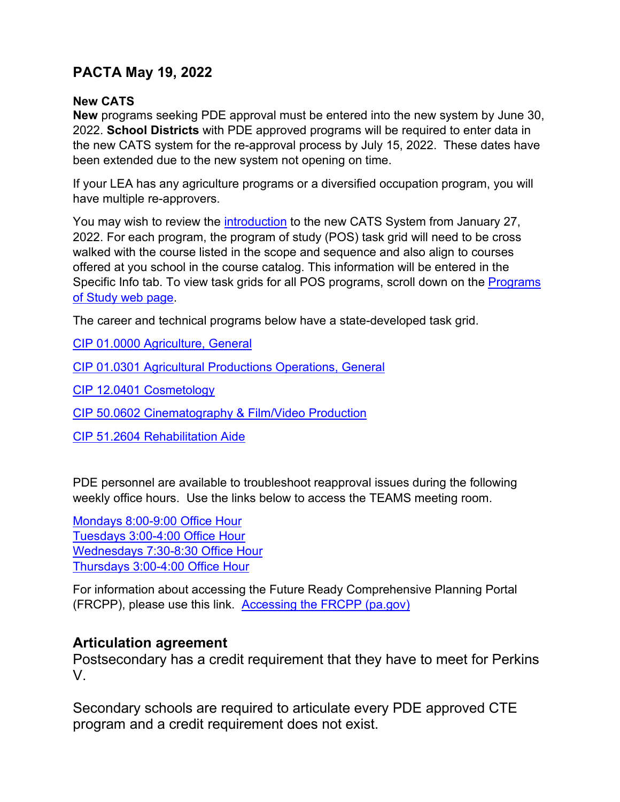# **PACTA May 19, 2022**

#### **New CATS**

**New** programs seeking PDE approval must be entered into the new system by June 30, 2022. **School Districts** with PDE approved programs will be required to enter data in the new CATS system for the re-approval process by July 15, 2022. These dates have been extended due to the new system not opening on time.

If your LEA has any agriculture programs or a diversified occupation program, you will have multiple re-approvers.

You may wish to review the *introduction* to the new CATS System from January 27, 2022. For each program, the program of study (POS) task grid will need to be cross walked with the course listed in the scope and sequence and also align to courses offered at you school in the course catalog. This information will be entered in the Specific Info tab. To view task grids for all POS programs, scroll down on the [Programs](https://www.education.pa.gov/K-12/Career%20and%20Technical%20Education/Programs%20of%20Study/Pages/Framework.aspx)  [of Study web page.](https://www.education.pa.gov/K-12/Career%20and%20Technical%20Education/Programs%20of%20Study/Pages/Framework.aspx)

The career and technical programs below have a state-developed task grid.

[CIP 01.0000 Agriculture, General](https://www.education.pa.gov/Documents/K-12/Career%20and%20Technical%20Education/Teacher%20Resources/Agricultural%20Education/010000%20Agriculture%20General.docx)

[CIP 01.0301 Agricultural Productions Operations, General](https://www.education.pa.gov/Documents/K-12/Career%20and%20Technical%20Education/Teacher%20Resources/Agricultural%20Education/010301%20Agriculture%20Production.docx)

[CIP 12.0401 Cosmetology](https://www.education.pa.gov/Documents/K-12/Career%20and%20Technical%20Education/Teacher%20Resources/Trade%20and%20Industry%20Education/120401%20Cosmetology.docx)

[CIP 50.0602 Cinematography & Film/Video Production](https://www.education.pa.gov/Documents/K-12/Career%20and%20Technical%20Education/Teacher%20Resources/Trade%20and%20Industry%20Education/500602%20Cinematography.docx)

[CIP 51.2604 Rehabilitation Aide](https://www.education.pa.gov/Documents/K-12/Career%20and%20Technical%20Education/Teacher%20Resources/Health%20Occupations%20Education/512604RehabAide.xlsx) 

PDE personnel are available to troubleshoot reapproval issues during the following weekly office hours. Use the links below to access the TEAMS meeting room.

[Mondays 8:00-9:00 Office Hour](https://teams.microsoft.com/l/meetup-join/19%3aLFZ-VonHQOXWN5e-5Tuh_ub8O7oXKvw4eR-Ql9og4hA1%40thread.tacv2/1652108276854?context=%7b%22Tid%22%3a%22418e2841-0128-4dd5-9b6c-47fc5a9a1bde%22%2c%22Oid%22%3a%229ee94c0e-3e65-41e5-9d1a-33b9df9d7325%22%7d) [Tuesdays 3:00-4:00 Office Hour](https://teams.microsoft.com/l/meetup-join/19%3aLFZ-VonHQOXWN5e-5Tuh_ub8O7oXKvw4eR-Ql9og4hA1%40thread.tacv2/1651679086748?context=%7b%22Tid%22%3a%22418e2841-0128-4dd5-9b6c-47fc5a9a1bde%22%2c%22Oid%22%3a%22edfb2c2e-9510-4caf-8dee-30934120b0d3%22%7d)  [Wednesdays 7:30-8:30 Office Hour](https://teams.microsoft.com/l/meetup-join/19%3aLFZ-VonHQOXWN5e-5Tuh_ub8O7oXKvw4eR-Ql9og4hA1%40thread.tacv2/1651679519688?context=%7b%22Tid%22%3a%22418e2841-0128-4dd5-9b6c-47fc5a9a1bde%22%2c%22Oid%22%3a%22741d6eb5-cc81-4997-9648-0cf36f259c9a%22%7d) [Thursdays 3:00-4:00 Office Hour](https://teams.microsoft.com/l/meetup-join/19%3aLFZ-VonHQOXWN5e-5Tuh_ub8O7oXKvw4eR-Ql9og4hA1%40thread.tacv2/1651679383065?context=%7b%22Tid%22%3a%22418e2841-0128-4dd5-9b6c-47fc5a9a1bde%22%2c%22Oid%22%3a%2210b13b5d-12c9-4400-9dc3-4210d4aecaaa%22%7d)

For information about accessing the Future Ready Comprehensive Planning Portal (FRCPP), please use this link. [Accessing the FRCPP \(pa.gov\)](https://www.education.pa.gov/Teachers%20-%20Administrators/Comprehensive%20Planning/Pages/FRCPP.aspx)

### **Articulation agreement**

Postsecondary has a credit requirement that they have to meet for Perkins V.

Secondary schools are required to articulate every PDE approved CTE program and a credit requirement does not exist.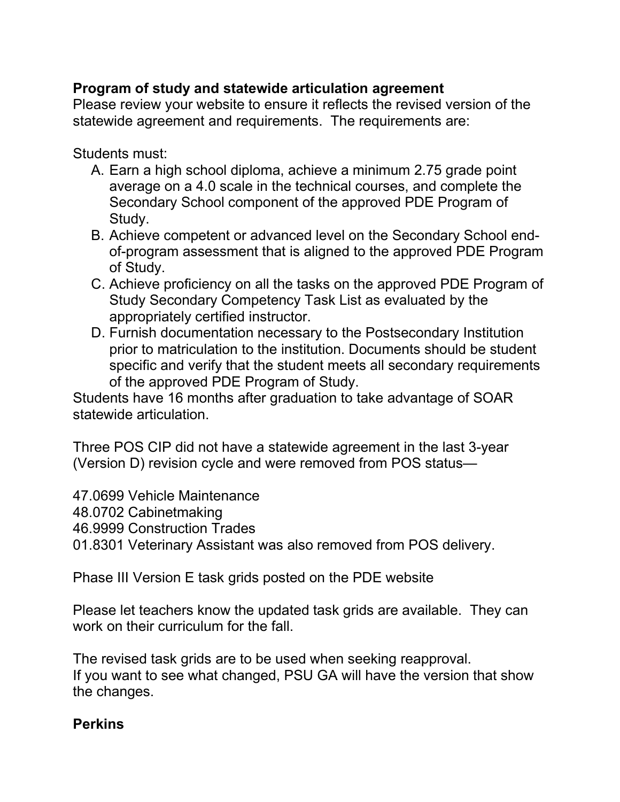## **Program of study and statewide articulation agreement**

Please review your website to ensure it reflects the revised version of the statewide agreement and requirements. The requirements are:

Students must:

- A. Earn a high school diploma, achieve a minimum 2.75 grade point average on a 4.0 scale in the technical courses, and complete the Secondary School component of the approved PDE Program of Study.
- B. Achieve competent or advanced level on the Secondary School endof-program assessment that is aligned to the approved PDE Program of Study.
- C. Achieve proficiency on all the tasks on the approved PDE Program of Study Secondary Competency Task List as evaluated by the appropriately certified instructor.
- D. Furnish documentation necessary to the Postsecondary Institution prior to matriculation to the institution. Documents should be student specific and verify that the student meets all secondary requirements of the approved PDE Program of Study.

Students have 16 months after graduation to take advantage of SOAR statewide articulation.

Three POS CIP did not have a statewide agreement in the last 3-year (Version D) revision cycle and were removed from POS status—

47.0699 Vehicle Maintenance

48.0702 Cabinetmaking

46.9999 Construction Trades

01.8301 Veterinary Assistant was also removed from POS delivery.

Phase III Version E task grids posted on the PDE website

Please let teachers know the updated task grids are available. They can work on their curriculum for the fall.

The revised task grids are to be used when seeking reapproval. If you want to see what changed, PSU GA will have the version that show the changes.

## **Perkins**